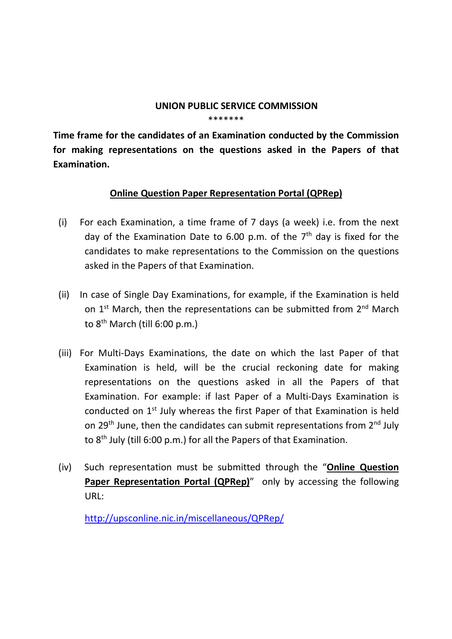## UNION PUBLIC SERVICE COMMISSION \*\*\*\*\*\*\*

Time frame for the candidates of an Examination conducted by the Commission for making representations on the questions asked in the Papers of that Examination.

## Online Question Paper Representation Portal (QPRep)

- (i) For each Examination, a time frame of 7 days (a week) i.e. from the next day of the Examination Date to 6.00 p.m. of the  $7<sup>th</sup>$  day is fixed for the candidates to make representations to the Commission on the questions asked in the Papers of that Examination.
- (ii) In case of Single Day Examinations, for example, if the Examination is held on 1<sup>st</sup> March, then the representations can be submitted from 2<sup>nd</sup> March to  $8<sup>th</sup>$  March (till 6:00 p.m.)
- (iii) For Multi-Days Examinations, the date on which the last Paper of that Examination is held, will be the crucial reckoning date for making representations on the questions asked in all the Papers of that Examination. For example: if last Paper of a Multi-Days Examination is conducted on 1st July whereas the first Paper of that Examination is held on 29<sup>th</sup> June, then the candidates can submit representations from  $2^{nd}$  July to 8th July (till 6:00 p.m.) for all the Papers of that Examination.
- (iv) Such representation must be submitted through the "Online Question Paper Representation Portal (QPRep)" only by accessing the following URL:

http://upsconline.nic.in/miscellaneous/QPRep/